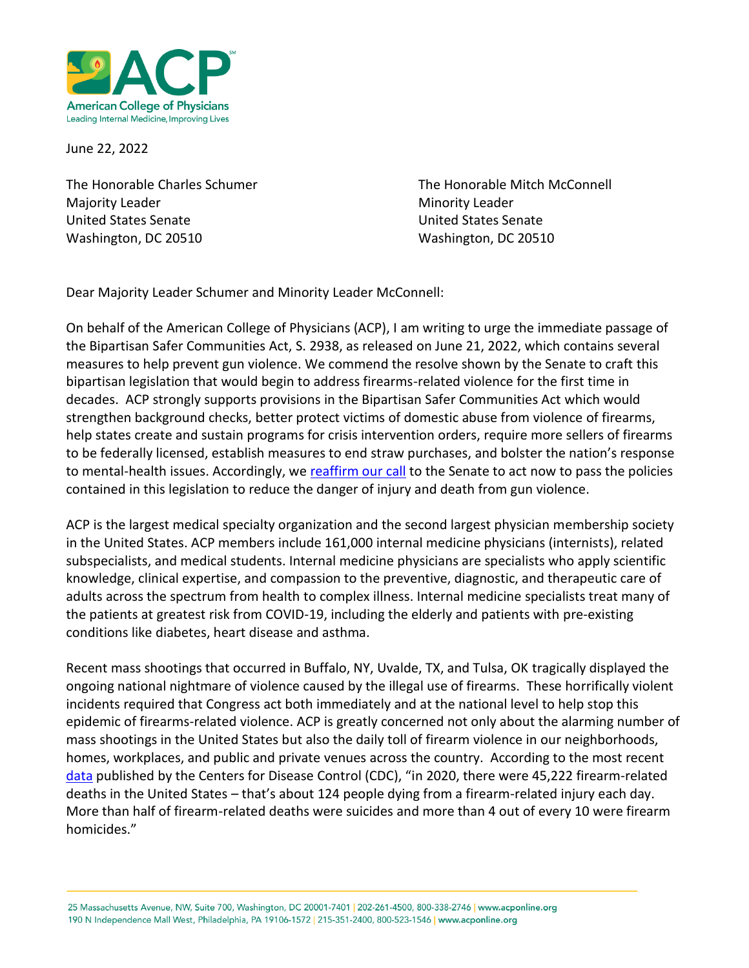

June 22, 2022

Majority Leader **Minority Leader** Minority Leader United States Senate United States Senate Washington, DC 20510 Washington, DC 20510

The Honorable Charles Schumer The Honorable Mitch McConnell

Dear Majority Leader Schumer and Minority Leader McConnell:

On behalf of the American College of Physicians (ACP), I am writing to urge the immediate passage of the Bipartisan Safer Communities Act, S. 2938, as released on June 21, 2022, which contains several measures to help prevent gun violence. We commend the resolve shown by the Senate to craft this bipartisan legislation that would begin to address firearms-related violence for the first time in decades. ACP strongly supports provisions in the Bipartisan Safer Communities Act which would strengthen background checks, better protect victims of domestic abuse from violence of firearms, help states create and sustain programs for crisis intervention orders, require more sellers of firearms to be federally licensed, establish measures to end straw purchases, and bolster the nation's response to mental-health issues. Accordingly, we [reaffirm our call](https://www.acponline.org/acp_policy/letters/acp_letter_of_support_for_legislative_action_to_reduce_firearms_related_violence_to_senate_leadership_june_2022.pdf) to the Senate to act now to pass the policies contained in this legislation to reduce the danger of injury and death from gun violence.

ACP is the largest medical specialty organization and the second largest physician membership society in the United States. ACP members include 161,000 internal medicine physicians (internists), related subspecialists, and medical students. Internal medicine physicians are specialists who apply scientific knowledge, clinical expertise, and compassion to the preventive, diagnostic, and therapeutic care of adults across the spectrum from health to complex illness. Internal medicine specialists treat many of the patients at greatest risk from COVID-19, including the elderly and patients with pre-existing conditions like diabetes, heart disease and asthma.

Recent mass shootings that occurred in Buffalo, NY, Uvalde, TX, and Tulsa, OK tragically displayed the ongoing national nightmare of violence caused by the illegal use of firearms. These horrifically violent incidents required that Congress act both immediately and at the national level to help stop this epidemic of firearms-related violence. ACP is greatly concerned not only about the alarming number of mass shootings in the United States but also the daily toll of firearm violence in our neighborhoods, homes, workplaces, and public and private venues across the country. According to the most recent [data](https://www.cdc.gov/violenceprevention/firearms/fastfact.html) published by the Centers for Disease Control (CDC), "in 2020, there were 45,222 firearm-related deaths in the United States – that's about 124 people dying from a firearm-related injury each day. More than half of firearm-related deaths were suicides and more than 4 out of every 10 were firearm homicides."

25 Massachusetts Avenue, NW, Suite 700, Washington, DC 20001-7401 | 202-261-4500, 800-338-2746 | www.acponline.org 190 N Independence Mall West, Philadelphia, PA 19106-1572 | 215-351-2400, 800-523-1546 | www.acponline.org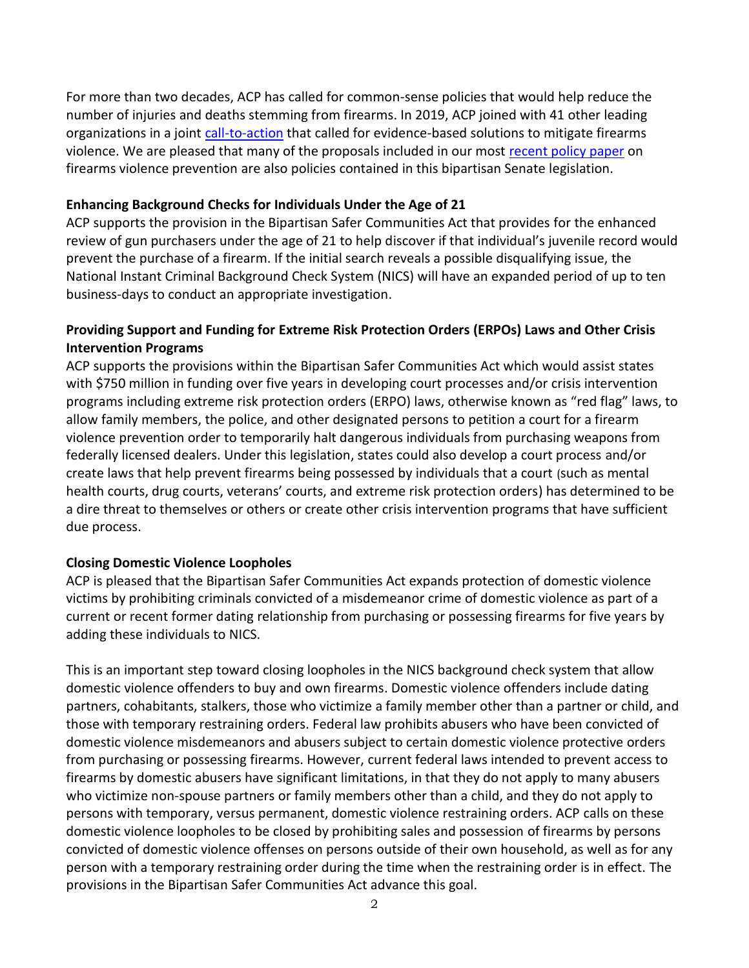For more than two decades, ACP has called for common-sense policies that would help reduce the number of injuries and deaths stemming from firearms. In 2019, ACP joined with 41 other leading organizations in a joint [call-to-action](https://www.acponline.org/acp-newsroom/acp-and-41-leading-organizations-announce-agreement-on-call-to-action-to-reduce-gun-violence) that called for evidence-based solutions to mitigate firearms violence. We are pleased that many of the proposals included in our most [recent policy paper](https://www.acpjournals.org/doi/full/10.7326/M18-1530?journalCode=aim) on firearms violence prevention are also policies contained in this bipartisan Senate legislation.

#### **Enhancing Background Checks for Individuals Under the Age of 21**

ACP supports the provision in the Bipartisan Safer Communities Act that provides for the enhanced review of gun purchasers under the age of 21 to help discover if that individual's juvenile record would prevent the purchase of a firearm. If the initial search reveals a possible disqualifying issue, the National Instant Criminal Background Check System (NICS) will have an expanded period of up to ten business-days to conduct an appropriate investigation.

# **Providing Support and Funding for Extreme Risk Protection Orders (ERPOs) Laws and Other Crisis Intervention Programs**

ACP supports the provisions within the Bipartisan Safer Communities Act which would assist states with \$750 million in funding over five years in developing court processes and/or crisis intervention programs including extreme risk protection orders (ERPO) laws, otherwise known as "red flag" laws, to allow family members, the police, and other designated persons to petition a court for a firearm violence prevention order to temporarily halt dangerous individuals from purchasing weapons from federally licensed dealers. Under this legislation, states could also develop a court process and/or create laws that help prevent firearms being possessed by individuals that a court (such as mental health courts, drug courts, veterans' courts, and extreme risk protection orders) has determined to be a dire threat to themselves or others or create other crisis intervention programs that have sufficient due process.

## **Closing Domestic Violence Loopholes**

ACP is pleased that the Bipartisan Safer Communities Act expands protection of domestic violence victims by prohibiting criminals convicted of a misdemeanor crime of domestic violence as part of a current or recent former dating relationship from purchasing or possessing firearms for five years by adding these individuals to NICS.

This is an important step toward closing loopholes in the NICS background check system that allow domestic violence offenders to buy and own firearms. Domestic violence offenders include dating partners, cohabitants, stalkers, those who victimize a family member other than a partner or child, and those with temporary restraining orders. Federal law prohibits abusers who have been convicted of domestic violence misdemeanors and abusers subject to certain domestic violence protective orders from purchasing or possessing firearms. However, current federal laws intended to prevent access to firearms by domestic abusers have significant limitations, in that they do not apply to many abusers who victimize non-spouse partners or family members other than a child, and they do not apply to persons with temporary, versus permanent, domestic violence restraining orders. ACP calls on these domestic violence loopholes to be closed by prohibiting sales and possession of firearms by persons convicted of domestic violence offenses on persons outside of their own household, as well as for any person with a temporary restraining order during the time when the restraining order is in effect. The provisions in the Bipartisan Safer Communities Act advance this goal.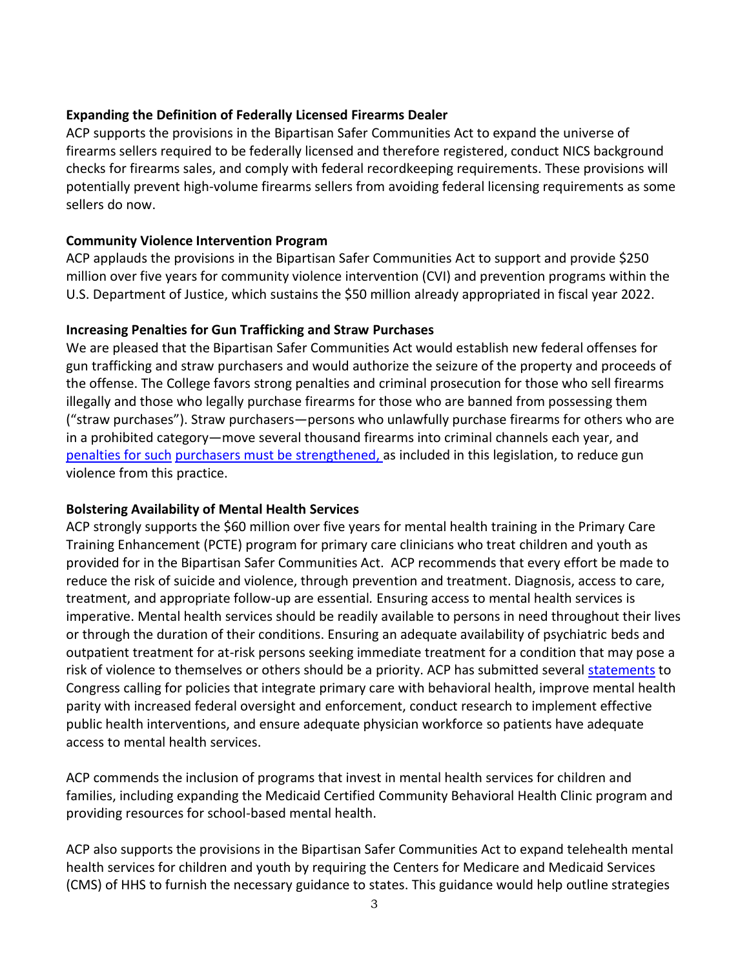### **Expanding the Definition of Federally Licensed Firearms Dealer**

ACP supports the provisions in the Bipartisan Safer Communities Act to expand the universe of firearms sellers required to be federally licensed and therefore registered, conduct NICS background checks for firearms sales, and comply with federal recordkeeping requirements. These provisions will potentially prevent high-volume firearms sellers from avoiding federal licensing requirements as some sellers do now.

### **Community Violence Intervention Program**

ACP applauds the provisions in the Bipartisan Safer Communities Act to support and provide \$250 million over five years for community violence intervention (CVI) and prevention programs within the U.S. Department of Justice, which sustains the \$50 million already appropriated in fiscal year 2022.

#### **Increasing Penalties for Gun Trafficking and Straw Purchases**

We are pleased that the Bipartisan Safer Communities Act would establish new federal offenses for gun trafficking and straw purchasers and would authorize the seizure of the property and proceeds of the offense. The College favors strong penalties and criminal prosecution for those who sell firearms illegally and those who legally purchase firearms for those who are banned from possessing them ("straw purchases"). Straw purchasers—persons who unlawfully purchase firearms for others who are in a prohibited category—move several thousand firearms into criminal channels each year, and penalties for such [purchasers must be](https://www.ojp.gov/pdffiles1/nij/grants/221074.pdf) strengthened, as included in this legislation, to reduce gun violence from this practice.

## **Bolstering Availability of Mental Health Services**

ACP strongly supports the \$60 million over five years for mental health training in the Primary Care Training Enhancement (PCTE) program for primary care clinicians who treat children and youth as provided for in the Bipartisan Safer Communities Act. ACP recommends that every effort be made to reduce the risk of suicide and violence, through prevention and treatment. Diagnosis, access to care, treatment, and appropriate follow-up are essential*.* Ensuring access to mental health services is imperative. Mental health services should be readily available to persons in need throughout their lives or through the duration of their conditions. Ensuring an adequate availability of psychiatric beds and outpatient treatment for at-risk persons seeking immediate treatment for a condition that may pose a risk of violence to themselves or others should be a priority. ACP has submitted several [statements](https://www.acponline.org/acp_policy/testimony/acp_statement_for_the_record_to_the_senate_help_committee_on_mental_health_and_substance_use_disorders_responding_to_the_growing_crisis_feb_2022.pdf) to Congress calling for policies that integrate primary care with behavioral health, improve mental health parity with increased federal oversight and enforcement, conduct research to implement effective public health interventions, and ensure adequate physician workforce so patients have adequate access to mental health services.

ACP commends the inclusion of programs that invest in mental health services for children and families, including expanding the Medicaid Certified Community Behavioral Health Clinic program and providing resources for school-based mental health.

ACP also supports the provisions in the Bipartisan Safer Communities Act to expand telehealth mental health services for children and youth by requiring the Centers for Medicare and Medicaid Services (CMS) of HHS to furnish the necessary guidance to states. This guidance would help outline strategies